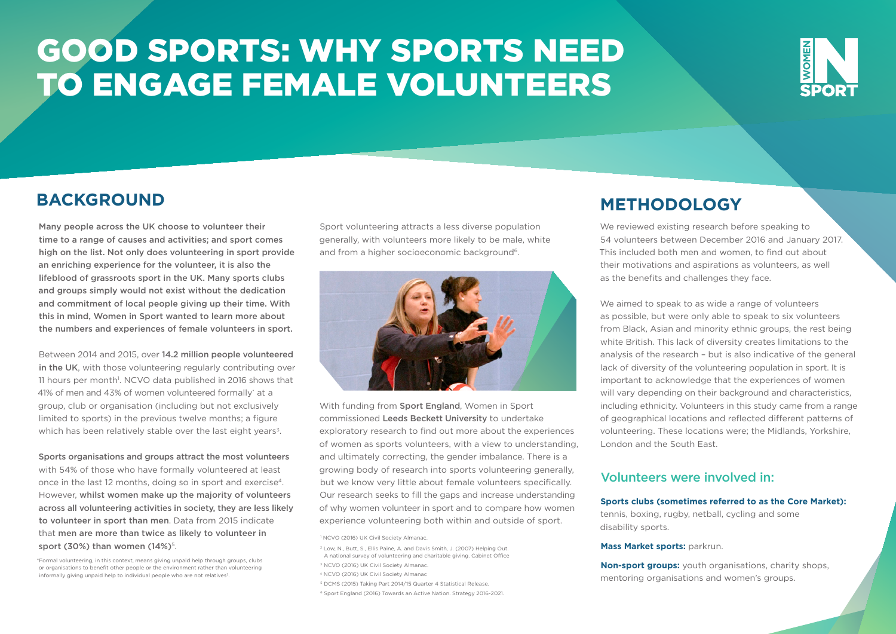## GOOD SPORTS: WHY SPORTS NEED TO ENGAGE FEMALE VOLUNTEERS



## **BACKGROUND METHODOLOGY**

Many people across the UK choose to volunteer their time to a range of causes and activities; and sport comes high on the list. Not only does volunteering in sport provide an enriching experience for the volunteer, it is also the lifeblood of grassroots sport in the UK. Many sports clubs and groups simply would not exist without the dedication and commitment of local people giving up their time. With this in mind, Women in Sport wanted to learn more about the numbers and experiences of female volunteers in sport.

Between 2014 and 2015, over 14.2 million people volunteered in the UK, with those volunteering regularly contributing over 11 hours per month<sup>1</sup>. NCVO data published in 2016 shows that 41% of men and 43% of women volunteered formally\* at a group, club or organisation (including but not exclusively limited to sports) in the previous twelve months; a figure which has been relatively stable over the last eight years<sup>3</sup>.

Sports organisations and groups attract the most volunteers with 54% of those who have formally volunteered at least once in the last 12 months, doing so in sport and exercise4. However, whilst women make up the majority of volunteers across all volunteering activities in society, they are less likely to volunteer in sport than men. Data from 2015 indicate that men are more than twice as likely to volunteer in sport (30%) than women  $(14\%)^5$ .

\*Formal volunteering, in this context, means giving unpaid help through groups, clubs or organisations to benefit other people or the environment rather than volunteering informally giving unpaid help to individual people who are not relatives<sup>2</sup>.

Sport volunteering attracts a less diverse population generally, with volunteers more likely to be male, white and from a higher socioeconomic background<sup>6</sup>.



With funding from Sport England, Women in Sport commissioned Leeds Beckett University to undertake exploratory research to find out more about the experiences of women as sports volunteers, with a view to understanding, and ultimately correcting, the gender imbalance. There is a growing body of research into sports volunteering generally, but we know very little about female volunteers specifically. Our research seeks to fill the gaps and increase understanding of why women volunteer in sport and to compare how women experience volunteering both within and outside of sport.

<sup>1</sup> NCVO (2016) UK Civil Society Almanac.

- <sup>2</sup> Low, N., Butt, S., Ellis Paine, A. and Davis Smith, J. (2007) Helping Out.
- A national survey of volunteering and charitable giving. Cabinet Office
- <sup>3</sup> NCVO (2016) UK Civil Society Almanac.
- <sup>4</sup> NCVO (2016) UK Civil Society Almanac
- <sup>5</sup> DCMS (2015) Taking Part 2014/15 Quarter 4 Statistical Release.
- <sup>6</sup> Sport England (2016) Towards an Active Nation. Strategy 2016-2021.

We reviewed existing research before speaking to 54 volunteers between December 2016 and January 2017. This included both men and women, to find out about their motivations and aspirations as volunteers, as well as the benefits and challenges they face.

We aimed to speak to as wide a range of volunteers as possible, but were only able to speak to six volunteers from Black, Asian and minority ethnic groups, the rest being white British. This lack of diversity creates limitations to the analysis of the research – but is also indicative of the general lack of diversity of the volunteering population in sport. It is important to acknowledge that the experiences of women will vary depending on their background and characteristics. including ethnicity. Volunteers in this study came from a range of geographical locations and reflected different patterns of volunteering. These locations were; the Midlands, Yorkshire, London and the South East.

#### Volunteers were involved in:

#### **Sports clubs (sometimes referred to as the Core Market):**

tennis, boxing, rugby, netball, cycling and some disability sports.

#### **Mass Market sports: parkrun.**

**Non-sport groups:** youth organisations, charity shops, mentoring organisations and women's groups.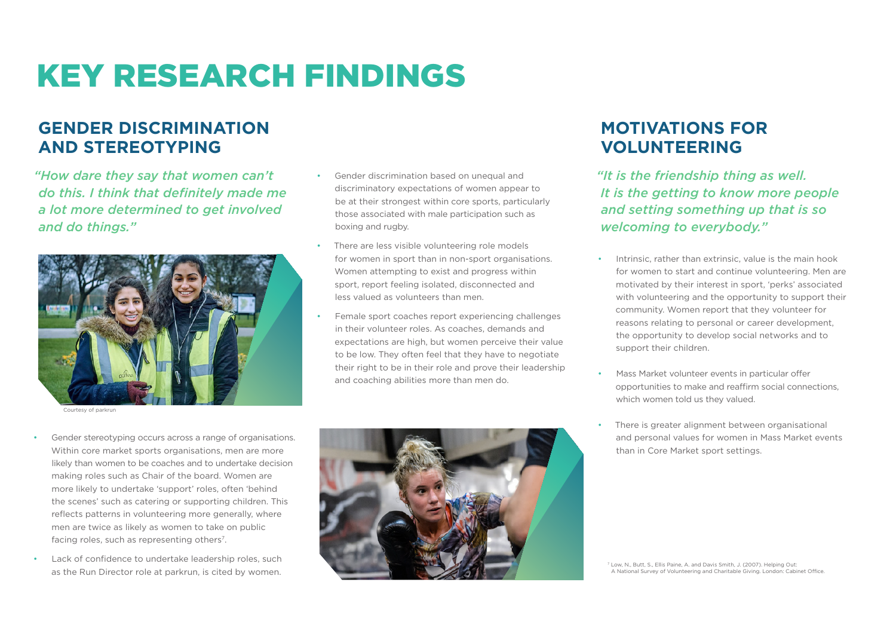# KEY RESEARCH FINDINGS

## **GENDER DISCRIMINATION AND STEREOTYPING**

*"How dare they say that women can't do this. I think that definitely made me a lot more determined to get involved and do things."*



Courtesy of parkrun

- Gender discrimination based on unequal and discriminatory expectations of women appear to be at their strongest within core sports, particularly those associated with male participation such as boxing and rugby.
- There are less visible volunteering role models for women in sport than in non-sport organisations. Women attempting to exist and progress within sport, report feeling isolated, disconnected and less valued as volunteers than men.
- Female sport coaches report experiencing challenges in their volunteer roles. As coaches, demands and expectations are high, but women perceive their value to be low. They often feel that they have to negotiate their right to be in their role and prove their leadership and coaching abilities more than men do.

## **MOTIVATIONS FOR VOLUNTEERING**

*"It is the friendship thing as well. It is the getting to know more people and setting something up that is so welcoming to everybody."*

- Intrinsic, rather than extrinsic, value is the main hook for women to start and continue volunteering. Men are motivated by their interest in sport, 'perks' associated with volunteering and the opportunity to support their community. Women report that they volunteer for reasons relating to personal or career development, the opportunity to develop social networks and to support their children.
- Mass Market volunteer events in particular offer opportunities to make and reaffirm social connections, which women told us they valued.
- There is greater alignment between organisational and personal values for women in Mass Market events than in Core Market sport settings.
- Gender stereotyping occurs across a range of organisations. Within core market sports organisations, men are more likely than women to be coaches and to undertake decision making roles such as Chair of the board. Women are more likely to undertake 'support' roles, often 'behind the scenes' such as catering or supporting children. This reflects patterns in volunteering more generally, where men are twice as likely as women to take on public facing roles, such as representing others<sup>7</sup>.
- Lack of confidence to undertake leadership roles, such as the Run Director role at parkrun, is cited by women.



<sup>7</sup> Low, N., Butt, S., Ellis Paine, A. and Davis Smith, J. (2007). Helping Out: A National Survey of Volunteering and Charitable Giving. London: Cabinet Office.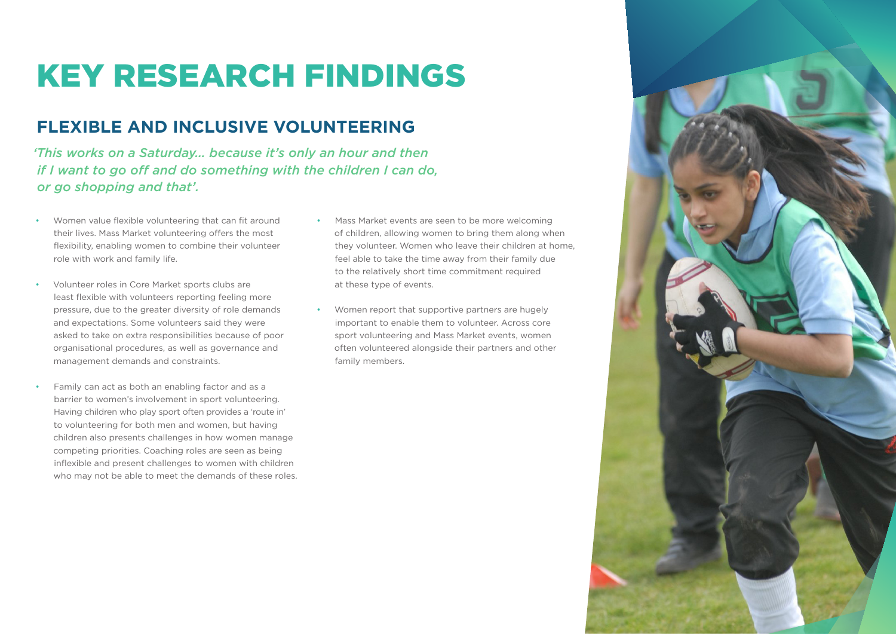## KEY RESEARCH FINDINGS

## **FLEXIBLE AND INCLUSIVE VOLUNTEERING**

*'This works on a Saturday… because it's only an hour and then if I want to go off and do something with the children I can do, or go shopping and that'.*

- Women value flexible volunteering that can fit around their lives. Mass Market volunteering offers the most flexibility, enabling women to combine their volunteer role with work and family life.
- Volunteer roles in Core Market sports clubs are least flexible with volunteers reporting feeling more pressure, due to the greater diversity of role demands and expectations. Some volunteers said they were asked to take on extra responsibilities because of poor organisational procedures, as well as governance and management demands and constraints.
- Family can act as both an enabling factor and as a barrier to women's involvement in sport volunteering. Having children who play sport often provides a 'route in' to volunteering for both men and women, but having children also presents challenges in how women manage competing priorities. Coaching roles are seen as being inflexible and present challenges to women with children who may not be able to meet the demands of these roles.
- Mass Market events are seen to be more welcoming of children, allowing women to bring them along when they volunteer. Women who leave their children at home, feel able to take the time away from their family due to the relatively short time commitment required at these type of events.
- Women report that supportive partners are hugely important to enable them to volunteer. Across core sport volunteering and Mass Market events, women often volunteered alongside their partners and other family members.